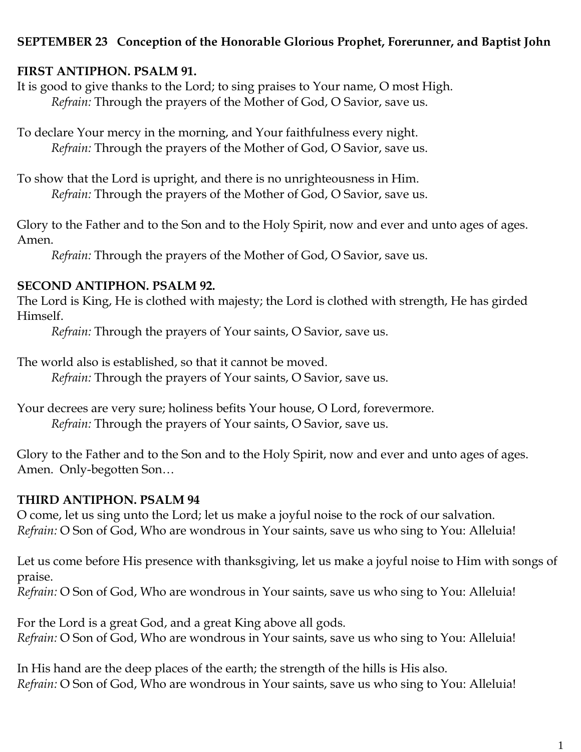# **SEPTEMBER 23 Conception of the Honorable Glorious Prophet, Forerunner, and Baptist John**

### **FIRST ANTIPHON. PSALM 91.**

It is good to give thanks to the Lord; to sing praises to Your name, O most High. *Refrain:* Through the prayers of the Mother of God, O Savior, save us.

To declare Your mercy in the morning, and Your faithfulness every night. *Refrain:* Through the prayers of the Mother of God, O Savior, save us.

To show that the Lord is upright, and there is no unrighteousness in Him. *Refrain:* Through the prayers of the Mother of God, O Savior, save us.

Glory to the Father and to the Son and to the Holy Spirit, now and ever and unto ages of ages. Amen.

*Refrain:* Through the prayers of the Mother of God, O Savior, save us.

## **SECOND ANTIPHON. PSALM 92.**

The Lord is King, He is clothed with majesty; the Lord is clothed with strength, He has girded Himself.

*Refrain:* Through the prayers of Your saints, O Savior, save us.

The world also is established, so that it cannot be moved.

*Refrain:* Through the prayers of Your saints, O Savior, save us.

Your decrees are very sure; holiness befits Your house, O Lord, forevermore. *Refrain:* Through the prayers of Your saints, O Savior, save us.

Glory to the Father and to the Son and to the Holy Spirit, now and ever and unto ages of ages. Amen. Only-begotten Son…

## **THIRD ANTIPHON. PSALM 94**

O come, let us sing unto the Lord; let us make a joyful noise to the rock of our salvation. *Refrain:* O Son of God, Who are wondrous in Your saints, save us who sing to You: Alleluia!

Let us come before His presence with thanksgiving, let us make a joyful noise to Him with songs of praise.

*Refrain:* O Son of God, Who are wondrous in Your saints, save us who sing to You: Alleluia!

For the Lord is a great God, and a great King above all gods. *Refrain:* O Son of God, Who are wondrous in Your saints, save us who sing to You: Alleluia!

In His hand are the deep places of the earth; the strength of the hills is His also. *Refrain:* O Son of God, Who are wondrous in Your saints, save us who sing to You: Alleluia!